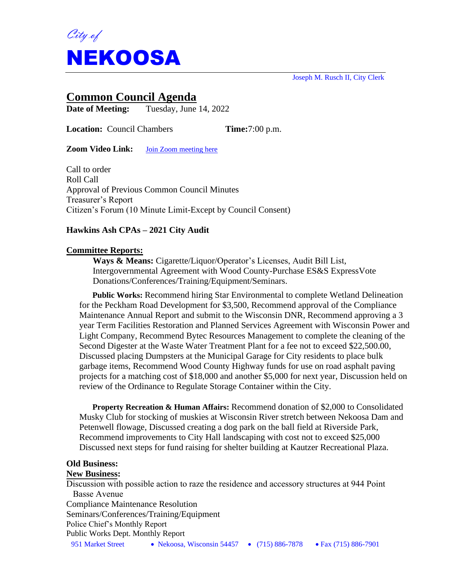

Joseph M. Rusch II, City Clerk

# **Common Council Agenda**

**Date of Meeting:** Tuesday, June 14, 2022

**Location:** Council Chambers **Time:**7:00 p.m.

**Zoom Video Link:** [Join Zoom meeting here](https://us02web.zoom.us/j/84999017439?pwd=aVQ3aUZqUkYwOVRLMEpFelBYS0JBUT09)

Call to order Roll Call Approval of Previous Common Council Minutes Treasurer's Report Citizen's Forum (10 Minute Limit-Except by Council Consent)

# **Hawkins Ash CPAs – 2021 City Audit**

### **Committee Reports:**

**Ways & Means:** Cigarette/Liquor/Operator's Licenses, Audit Bill List, Intergovernmental Agreement with Wood County-Purchase ES&S ExpressVote Donations/Conferences/Training/Equipment/Seminars.

**Public Works:** Recommend hiring Star Environmental to complete Wetland Delineation for the Peckham Road Development for \$3,500, Recommend approval of the Compliance Maintenance Annual Report and submit to the Wisconsin DNR, Recommend approving a 3 year Term Facilities Restoration and Planned Services Agreement with Wisconsin Power and Light Company, Recommend Bytec Resources Management to complete the cleaning of the Second Digester at the Waste Water Treatment Plant for a fee not to exceed \$22,500.00, Discussed placing Dumpsters at the Municipal Garage for City residents to place bulk garbage items, Recommend Wood County Highway funds for use on road asphalt paving projects for a matching cost of \$18,000 and another \$5,000 for next year, Discussion held on review of the Ordinance to Regulate Storage Container within the City.

**Property Recreation & Human Affairs:** Recommend donation of \$2,000 to Consolidated Musky Club for stocking of muskies at Wisconsin River stretch between Nekoosa Dam and Petenwell flowage, Discussed creating a dog park on the ball field at Riverside Park, Recommend improvements to City Hall landscaping with cost not to exceed \$25,000 Discussed next steps for fund raising for shelter building at Kautzer Recreational Plaza.

# **Old Business:**

#### **New Business:**

951 Market Street • Nekoosa, Wisconsin 54457 • (715) 886-7878 • Fax (715) 886-7901 Discussion with possible action to raze the residence and accessory structures at 944 Point Basse Avenue Compliance Maintenance Resolution Seminars/Conferences/Training/Equipment Police Chief's Monthly Report Public Works Dept. Monthly Report